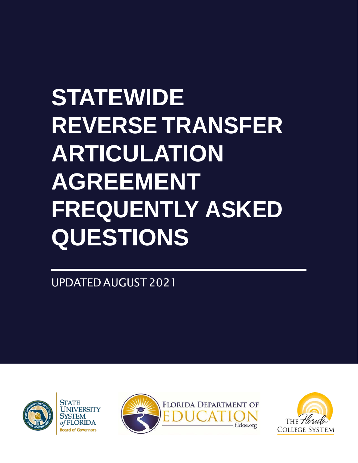# **STATEWIDE REVERSE TRANSFER ARTICULATION AGREEMENT FREQUENTLY ASKED QUESTIONS**

UPDATED AUGUST 2021







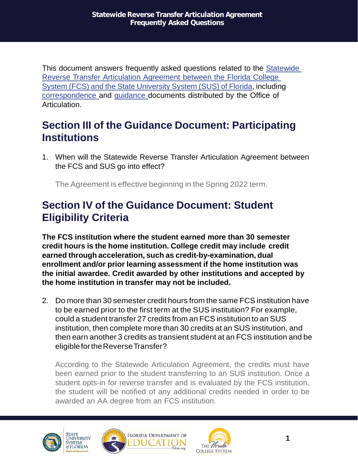This document answers frequently asked questions related to the [Statewide](https://www.fldoe.org/core/fileparse.php/19942/urlt/9-2.pdf) Reverse Transfer [Articulation](https://www.fldoe.org/core/fileparse.php/19942/urlt/9-2.pdf) Agreement between the Florida College System (FCS) and the State [University](https://www.fldoe.org/core/fileparse.php/19942/urlt/9-2.pdf) System (SUS) of Florida, including [correspondence](https://www.fldoe.org/core/fileparse.php/7671/urlt/FCS-SUS-ReverseTransferMemo.pdf) and [guidance](https://www.fldoe.org/core/fileparse.php/7671/urlt/ReverseTransferGuidance-May2021.pdf) documents distributed by the Office of Articulation.

# **Section III of the Guidance Document: Participating Institutions**

1. When will the Statewide Reverse Transfer Articulation Agreement between the FCS and SUS go into effect?

The Agreement is effective beginning in the Spring 2022 term.

## **Section IV of the Guidance Document: Student Eligibility Criteria**

**The FCS institution where the student earned more than 30 semester credit hours is the home institution. College credit may include credit earned through acceleration, such as credit-by-examination, dual enrollment and/or prior learning assessment if the home institution was the initial awardee. Credit awarded by other institutions and accepted by the home institution in transfer may not be included.**

2. Do more than 30 semester credit hours from the same FCS institution have to be earned prior to the first term at the SUS institution? For example, could a student transfer 27 credits from an FCS institution to an SUS institution, then complete more than 30 credits at an SUS institution, and then earn another 3 credits as transient student at an FCS institution and be eligible for the Reverse Transfer?

According to the Statewide Articulation Agreement, the credits must have been earned prior to the student transferring to an SUS institution. Once a student opts-in for reverse transfer and is evaluated by the FCS institution, the student will be notified of any additional credits needed in order to be awarded an AA degree from an FCS institution.





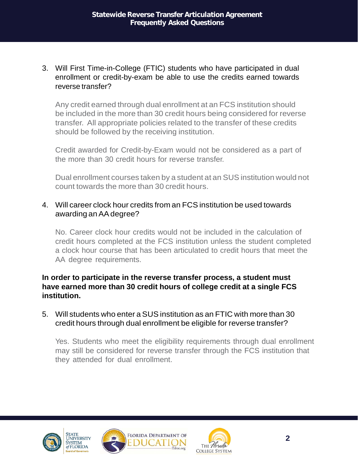3. Will First Time-in-College (FTIC) students who have participated in dual enrollment or credit-by-exam be able to use the credits earned towards reverse transfer?

Any credit earned through dual enrollment at an FCS institution should be included in the more than 30 credit hours being considered for reverse transfer. All appropriate policies related to the transfer of these credits should be followed by the receiving institution.

Credit awarded for Credit-by-Exam would not be considered as a part of the more than 30 credit hours for reverse transfer.

Dual enrollment courses taken by a student at an SUS institution would not count towards the more than 30 credit hours.

#### 4. Will career clock hour credits from an FCS institution be used towards awarding anAAdegree?

No. Career clock hour credits would not be included in the calculation of credit hours completed at the FCS institution unless the student completed a clock hour course that has been articulated to credit hours that meet the AA degree requirements.

#### **In order to participate in the reverse transfer process, a student must have earned more than 30 credit hours of college credit at a single FCS institution.**

#### 5. Will students who enter a SUS institution as an FTIC with more than 30 credit hours through dual enrollment be eligible for reverse transfer?

Yes. Students who meet the eligibility requirements through dual enrollment may still be considered for reverse transfer through the FCS institution that they attended for dual enrollment.







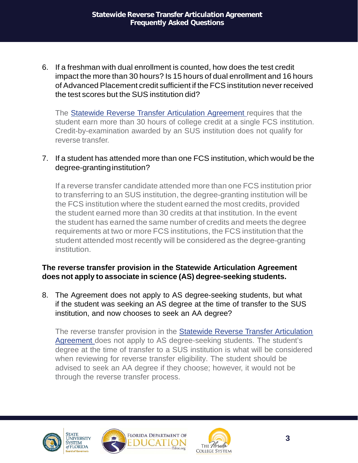6. If a freshman with dual enrollment is counted, how does the test credit impact the more than 30 hours? Is 15 hours of dual enrollment and 16 hours of Advanced Placement credit sufficient if the FCS institution never received the test scores but the SUS institution did?

The Statewide Reverse Transfer [Articulation](https://www.fldoe.org/core/fileparse.php/19942/urlt/9-2.pdf) Agreement requires that the student earn more than 30 hours of college credit at a single FCS institution. Credit-by-examination awarded by an SUS institution does not qualify for reverse transfer.

#### 7. If a student has attended more than one FCS institution, which would be the degree-granting institution?

If a reverse transfer candidate attended more than one FCS institution prior to transferring to an SUS institution, the degree-granting institution will be the FCS institution where the student earned the most credits, provided the student earned more than 30 credits at that institution. In the event the student has earned the same number of credits and meets the degree requirements at two or more FCS institutions, the FCS institution that the student attended most recently will be considered as the degree-granting institution.

## **The reverse transfer provision in the Statewide Articulation Agreement does not apply to associate in science (AS) degree-seeking students.**

8. The Agreement does not apply to AS degree-seeking students, but what if the student was seeking an AS degree at the time of transfer to the SUS institution, and now chooses to seek an AA degree?

The reverse transfer provision in the Statewide Reverse Transfer [Articulation](https://www.fldoe.org/core/fileparse.php/19942/urlt/9-2.pdf) [Agreement](https://www.fldoe.org/core/fileparse.php/19942/urlt/9-2.pdf) does not apply to AS degree-seeking students. The student's degree at the time of transfer to a SUS institution is what will be considered when reviewing for reverse transfer eligibility. The student should be advised to seek an AA degree if they choose; however, it would not be through the reverse transfer process.







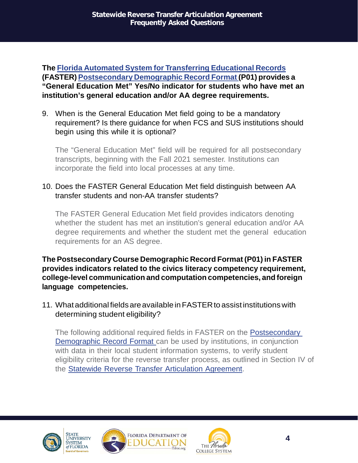**The Florida Automated System for [Transferring](http://www.floridastudentfinancialaid.org/faster/manl2021/index.htm) Educational Records (FASTER) [Postsecondary](http://www.floridastudentfinancialaid.org/faster/manl2021/appx-j1.htm) Demographic Record Format (P01) provides a "General Education Met" Yes/No indicator for students who have met an institution's general education and/or AA degree requirements.**

9. When is the General Education Met field going to be a mandatory requirement? Is there guidance for when FCS and SUS institutions should begin using this while it is optional?

The "General Education Met" field will be required for all postsecondary transcripts, beginning with the Fall 2021 semester. Institutions can incorporate the field into local processes at any time.

#### 10. Does the FASTER General Education Met field distinguish between AA transfer students and non-AA transfer students?

The FASTER General Education Met field provides indicators denoting whether the student has met an institution's general education and/or AA degree requirements and whether the student met the general education requirements for an AS degree.

**The Postsecondary Course Demographic Record Format (P01) in FASTER provides indicators related to the civics literacy competency requirement, college-level communication and computation competencies, and foreign language competencies.**

11. What additional fieldsareavailableinFASTERto assistinstitutionswith determining student eligibility?

The following additional required fields in FASTER on the [Postsecondary](http://www.floridastudentfinancialaid.org/faster/manl2021/appx-j1.htm) [Demographic](http://www.floridastudentfinancialaid.org/faster/manl2021/appx-j1.htm) Record Format can be used by institutions, in conjunction with data in their local student information systems, to verify student eligibility criteria for the reverse transfer process, as outlined in Section IV of the Statewide Reverse Transfer Articulation [Agreement.](http://www.floridastudentfinancialaid.org/faster/manl2021/appx-j1.htm)







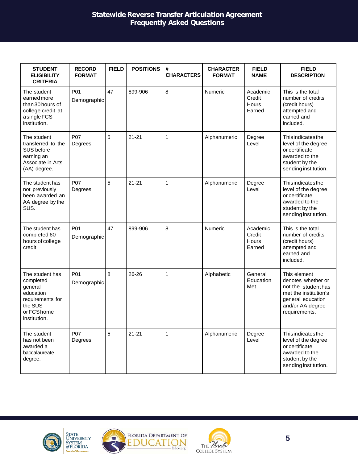#### **Statewide Reverse Transfer Articulation Agreement Frequently Asked Questions**

| <b>STUDENT</b><br><b>ELIGIBILITY</b><br><b>CRITERIA</b>                                                            | <b>RECORD</b><br><b>FORMAT</b> | <b>FIELD</b> | <b>POSITIONS</b> | #<br><b>CHARACTERS</b> | <b>CHARACTER</b><br><b>FORMAT</b> | <b>FIELD</b><br><b>NAME</b>           | <b>FIELD</b><br><b>DESCRIPTION</b>                                                                                                           |
|--------------------------------------------------------------------------------------------------------------------|--------------------------------|--------------|------------------|------------------------|-----------------------------------|---------------------------------------|----------------------------------------------------------------------------------------------------------------------------------------------|
| The student<br>earnedmore<br>than 30 hours of<br>college credit at<br>asingleFCS<br>institution.                   | P01<br>Demographic             | 47           | 899-906          | 8                      | Numeric                           | Academic<br>Credit<br>Hours<br>Earned | This is the total<br>number of credits<br>(credit hours)<br>attempted and<br>earned and<br>included.                                         |
| The student<br>transferred to the<br>SUS before<br>earning an<br>Associate in Arts<br>(AA) degree.                 | P07<br>Degrees                 | 5            | $21 - 21$        | $\mathbf{1}$           | Alphanumeric                      | Degree<br>Level                       | Thisindicatesthe<br>level of the degree<br>or certificate<br>awarded to the<br>student by the<br>sending institution.                        |
| The student has<br>not previously<br>been awarded an<br>AA degree by the<br>SUS.                                   | P07<br>Degrees                 | 5            | $21 - 21$        | $\mathbf{1}$           | Alphanumeric                      | Degree<br>Level                       | Thisindicatesthe<br>level of the degree<br>or certificate<br>awarded to the<br>student by the<br>sending institution.                        |
| The student has<br>completed 60<br>hours of college<br>credit.                                                     | P01<br>Demographic             | 47           | 899-906          | 8                      | Numeric                           | Academic<br>Credit<br>Hours<br>Earned | This is the total<br>number of credits<br>(credit hours)<br>attempted and<br>earned and<br>included.                                         |
| The student has<br>completed<br>general<br>education<br>requirements for<br>the SUS<br>or FCS home<br>institution. | P01<br>Demographic             | 8            | 26-26            | 1                      | Alphabetic                        | General<br>Education<br>Met           | This element<br>denotes whether or<br>not the student has<br>met the institution's<br>general education<br>and/or AA degree<br>requirements. |
| The student<br>has not been<br>awarded a<br>baccalaureate<br>degree.                                               | P07<br>Degrees                 | 5            | $21 - 21$        | $\mathbf{1}$           | Alphanumeric                      | Degree<br>Level                       | Thisindicatesthe<br>level of the degree<br>or certificate<br>awarded to the<br>student by the<br>sending institution.                        |







ATION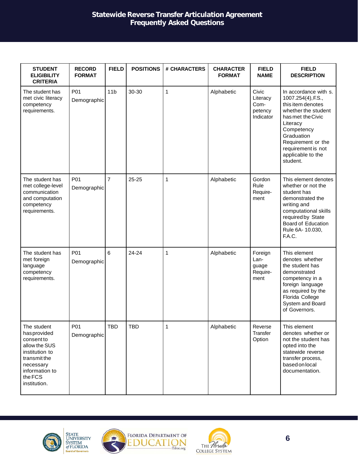#### **Statewide Reverse Transfer Articulation Agreement Frequently Asked Questions**

| <b>STUDENT</b><br><b>ELIGIBILITY</b><br><b>CRITERIA</b>                                                                                               | <b>RECORD</b><br><b>FORMAT</b> | <b>FIELD</b>    | <b>POSITIONS</b> | # CHARACTERS   | <b>CHARACTER</b><br><b>FORMAT</b> | <b>FIELD</b><br><b>NAME</b>                       | <b>FIELD</b><br><b>DESCRIPTION</b>                                                                                                                                                                                                |
|-------------------------------------------------------------------------------------------------------------------------------------------------------|--------------------------------|-----------------|------------------|----------------|-----------------------------------|---------------------------------------------------|-----------------------------------------------------------------------------------------------------------------------------------------------------------------------------------------------------------------------------------|
| The student has<br>met civic literacy<br>competency<br>requirements.                                                                                  | P01<br>Demographic             | 11 <sub>b</sub> | 30-30            | $\mathbf{1}$   | Alphabetic                        | Civic<br>Literacy<br>Com-<br>petency<br>Indicator | In accordance with s.<br>1007.254(4), F.S.,<br>this item denotes<br>whether the student<br>has met the Civic<br>Literacy<br>Competency<br>Graduation<br>Requirement or the<br>requirement is not<br>applicable to the<br>student. |
| The student has<br>met college-level<br>communication<br>and computation<br>competency<br>requirements.                                               | P01<br>Demographic             | $\overline{7}$  | $25 - 25$        | $\mathbf 1$    | Alphabetic                        | Gordon<br>Rule<br>Require-<br>ment                | This element denotes<br>whether or not the<br>student has<br>demonstrated the<br>writing and<br>computational skills<br>required by State<br><b>Board of Education</b><br>Rule 6A- 10.030,<br>F.A.C.                              |
| The student has<br>met foreign<br>language<br>competency<br>requirements.                                                                             | P01<br>Demographic             | $6\phantom{a}$  | 24-24            | 1              | Alphabetic                        | Foreign<br>Lan-<br>guage<br>Require-<br>ment      | This element<br>denotes whether<br>the student has<br>demonstrated<br>competency in a<br>foreign language<br>as required by the<br>Florida College<br>System and Board<br>of Governors.                                           |
| The student<br>hasprovided<br>consent to<br>allow the SUS<br>institution to<br>transmit the<br>necessary<br>information to<br>the FCS<br>institution. | P01<br>Demographic             | <b>TBD</b>      | TBD              | $\overline{1}$ | Alphabetic                        | Reverse<br>Transfer<br>Option                     | This element<br>denotes whether or<br>not the student has<br>opted into the<br>statewide reverse<br>transfer process,<br>based on local<br>documentation.                                                                         |







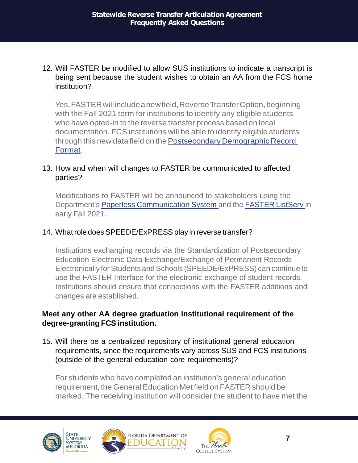#### 12. Will FASTER be modified to allow SUS institutions to indicate a transcript is being sent because the student wishes to obtain an AA from the FCS home institution?

Yes, FASTER will include a new field, Reverse Transfer Option, beginning with the Fall 2021 term for institutions to identify any eligible students who have opted-in to the reverse transfer process based on local documentation. FCS institutions will be able to identify eligible student[s](http://www.floridastudentfinancialaid.org/faster/manl2021/appx-j1.htm) through this new data field on the Postsecondary Demographic Record [Format.](http://www.floridastudentfinancialaid.org/faster/manl2021/appx-j1.htm)

## 13. How and when will changes to FASTER be communicated to affected parties?

Modifications to FASTER will be announced to stakeholders using the Department's Paperless [Communication](https://www.fldoe.org/policy/pubs/paperless-communications.stml) System and the [FASTER](http://lserv.fldoe.org/wa.exe?SUBED1=faster-l&A=1) ListServ in early Fall 2021.

#### 14. What role does SPEEDE/ExPRESS play in reverse transfer?

Institutions exchanging records via the Standardization of Postsecondary Education Electronic Data Exchange/Exchange of Permanent Records Electronically for Students and Schools (SPEEDE/ExPRESS) can continue to use the FASTER Interface for the electronic exchange of student records. Institutions should ensure that connections with the FASTER additions and changes are established.

#### **Meet any other AA degree graduation institutional requirement of the degree-granting FCS institution.**

15. Will there be a centralized repository of institutional general education requirements, since the requirements vary across SUS and FCS institutions (outside of the general education core requirements)?

For students who have completed an institution's general education requirement, the General Education Met field on FASTER should be marked. The receiving institution will consider the student to have met the





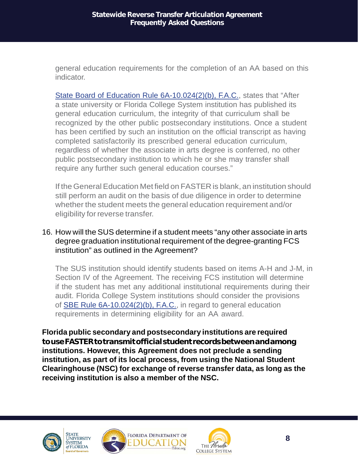general education requirements for the completion of an AA based on this indicator.

State Board of Education Rule [6A-10.024\(2\)\(b\),](https://www.flrules.org/gateway/ruleNo.asp?id=6A-10.024) F.A.C., states that "After a state university or Florida College System institution has published its general education curriculum, the integrity of that curriculum shall be recognized by the other public postsecondary institutions. Once a student has been certified by such an institution on the official transcript as having completed satisfactorily its prescribed general education curriculum, regardless of whether the associate in arts degree is conferred, no other public postsecondary institution to which he or she may transfer shall require any further such general education courses."

If the General Education Met field on FASTER is blank, an institution should still perform an audit on the basis of due diligence in order to determine whether the student meets the general education requirement and/or eligibility for reverse transfer.

#### 16. How will the SUS determine if a student meets "any other associate in arts degree graduation institutional requirement of the degree-granting FCS institution" as outlined in the Agreement?

The SUS institution should identify students based on items A-H and J-M, in Section IV of the Agreement. The receiving FCS institution will determine if the student has met any additional institutional requirements during their audit. Florida College System institutions should consider the provisions of SBE Rule [6A-10.024\(2\)\(b\),](https://www.flrules.org/gateway/ruleNo.asp?id=6A-10.024) F.A.C., in regard to general education requirements in determining eligibility for an AA award.

**Florida public secondary and postsecondary institutions are required touseFASTERtotransmitofficialstudentrecordsbetweenandamong institutions. However, this Agreement does not preclude a sending institution, as part of its local process, from using the National Student Clearinghouse (NSC) for exchange of reverse transfer data, as long as the receiving institution is also a member of the NSC.**







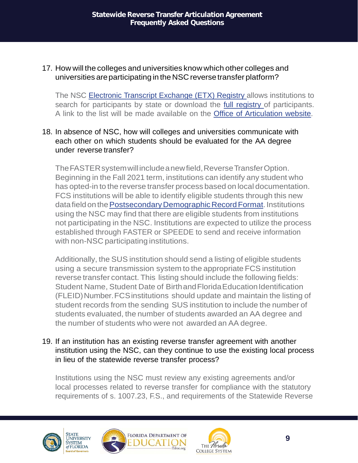17. How will the colleges and universities know which other colleges and universities areparticipating in the NSC reverse transfer platform?

The NSC Electronic Transcript [Exchange](https://www.studentclearinghouse.org/colleges/etx-registry/) (ETX) Registry allows institutions to search for participants by state or download the full [registry](https://www.studentclearinghouse.org/etx-registry.csv) of participants. A link to the list will be made available on the Office of [Articulation](https://www.fldoe.org/policy/articulation/) website.

#### 18. In absence of NSC, how will colleges and universities communicate with each other on which students should be evaluated for the AA degree under reverse transfer?

TheFASTERsystemwillincludeanewfield,ReverseTransferOption. Beginning in the Fall 2021 term, institutions can identify any student who has opted-in to the reverse transfer process based on local documentation. FCS institutions will be able to identify eligible students through this new data field on the Postsecondary Demographic Record Format. Institutions using the NSC may find that there are eligible students from institutions not participating in the NSC. Institutions are expected to utilize the process established through FASTER or SPEEDE to send and receive information with non-NSC participating institutions.

Additionally, the SUS institution should send a listing of eligible students using a secure transmission system to the appropriate FCS institution reverse transfer contact. This listing should include the following fields: Student Name, Student Date of Birthand Florida Education Identification (FLEID)Number.FCSinstitutions should update and maintain the listing of student records from the sending SUS institution to include the number of students evaluated, the number of students awarded an AA degree and the number of students who were not awarded an AA degree.

19. If an institution has an existing reverse transfer agreement with another institution using the NSC, can they continue to use the existing local process in lieu of the statewide reverse transfer process?

Institutions using the NSC must review any existing agreements and/or local processes related to reverse transfer for compliance with the statutory requirements of s. 1007.23, F.S., and requirements of the Statewide Reverse





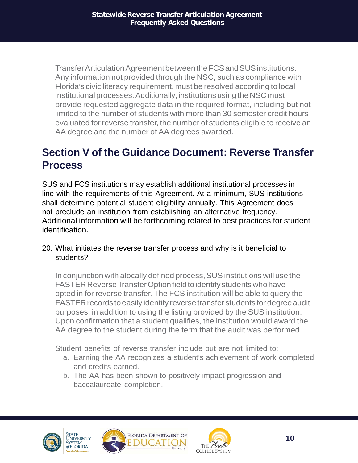TransferArticulationAgreementbetweentheFCSandSUSinstitutions. Any information not provided through the NSC, such as compliance with Florida's civic literacy requirement, must be resolved according to local institutional processes. Additionally, institutions using the NSC must provide requested aggregate data in the required format, including but not limited to the number of students with more than 30 semester credit hours evaluated for reverse transfer, the number of students eligible to receive an AA degree and the number of AA degrees awarded.

# **Section V of the Guidance Document: Reverse Transfer Process**

SUS and FCS institutions may establish additional institutional processes in line with the requirements of this Agreement. At a minimum, SUS institutions shall determine potential student eligibility annually. This Agreement does not preclude an institution from establishing an alternative frequency. Additional information will be forthcoming related to best practices for student identification.

20. What initiates the reverse transfer process and why is it beneficial to students?

In conjunction with a locally defined process, SUS institutions will use the FASTER Reverse Transfer Option field to identify students who have opted in for reverse transfer. The FCS institution will be able to query the FASTER records to easily identify reverse transfer students for degree audit purposes, in addition to using the listing provided by the SUS institution. Upon confirmation that a student qualifies, the institution would award the AA degree to the student during the term that the audit was performed.

Student benefits of reverse transfer include but are not limited to:

- a. Earning the AA recognizes a student's achievement of work completed and credits earned.
- b. The AA has been shown to positively impact progression and baccalaureate completion.





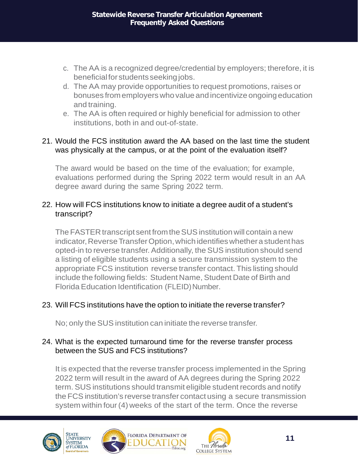- c. The AA is a recognized degree/credential by employers; therefore, it is beneficial for students seeking jobs.
- d. The AA may provide opportunities to request promotions, raises or bonuses fromemployers who value and incentivize ongoing education and training.
- e. The AA is often required or highly beneficial for admission to other institutions, both in and out-of-state.

#### 21. Would the FCS institution award the AA based on the last time the student was physically at the campus, or at the point of the evaluation itself?

The award would be based on the time of the evaluation; for example, evaluations performed during the Spring 2022 term would result in an AA degree award during the same Spring 2022 term.

#### 22. How will FCS institutions know to initiate a degree audit of a student's transcript?

The FASTER transcript sent from the SUS institution will contain a new indicator, Reverse Transfer Option, which identifies whether a student has opted-in to reverse transfer. Additionally, the SUS institution should send a listing of eligible students using a secure transmission system to the appropriate FCS institution reverse transfer contact. This listing should include the following fields: Student Name, Student Date of Birth and Florida Education Identification (FLEID) Number.

## 23. Will FCS institutions have the option to initiate the reverse transfer?

No; only the SUS institution can initiate the reverse transfer.

#### 24. What is the expected turnaround time for the reverse transfer process between the SUS and FCS institutions?

It is expected that the reverse transfer process implemented in the Spring 2022 term will result in the award of AA degrees during the Spring 2022 term. SUS institutions should transmit eligible student records and notify the FCS institution's reverse transfer contact using a secure transmission system within four(4) weeks of the start of the term. Once the reverse





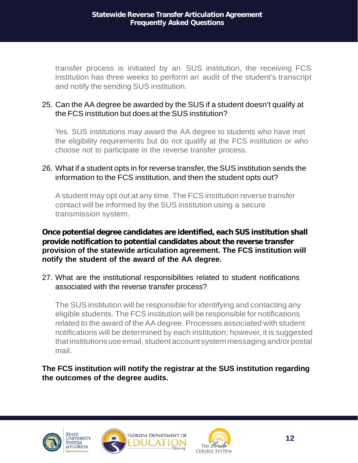transfer process is initiated by an SUS institution, the receiving FCS institution has three weeks to perform an audit of the student's transcript and notify the sending SUS institution.

#### 25. Can the AA degree be awarded by the SUS if a student doesn't qualify at the FCS institution but does at the SUS institution?

Yes. SUS institutions may award the AA degree to students who have met the eligibility requirements but do not qualify at the FCS institution or who choose not to participate in the reverse transfer process.

#### 26. What if a student opts in for reverse transfer, the SUS institution sends the information to the FCS institution, and then the student opts out?

A student may opt out at any time. The FCS institution reverse transfer contact will be informed by the SUS institution using a secure transmission system.

#### **Once potential degree candidates are identified, each SUS institution shall provide notification to potential candidates about the reverse transfer provision of the statewide articulation agreement. The FCS institution will notify the student of the award of the AA degree.**

27. What are the institutional responsibilities related to student notifications associated with the reverse transfer process?

The SUS institution will be responsible for identifying and contacting any eligible students. The FCS institution will be responsible for notifications related to the award of the AA degree. Processes associated with student notifications will be determined by each institution; however, it is suggested that institutions use email, student account system messaging and/or postal mail.

## **The FCS institution will notify the registrar at the SUS institution regarding the outcomes of the degree audits.**







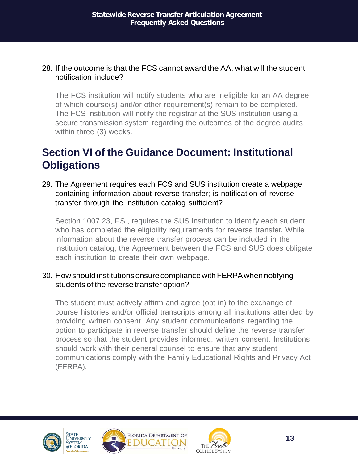#### 28. If the outcome is that the FCS cannot award the AA, what will the student notification include?

The FCS institution will notify students who are ineligible for an AA degree of which course(s) and/or other requirement(s) remain to be completed. The FCS institution will notify the registrar at the SUS institution using a secure transmission system regarding the outcomes of the degree audits within three (3) weeks.

# **Section VI of the Guidance Document: Institutional Obligations**

29. The Agreement requires each FCS and SUS institution create a webpage containing information about reverse transfer; is notification of reverse transfer through the institution catalog sufficient?

Section 1007.23, F.S., requires the SUS institution to identify each student who has completed the eligibility requirements for reverse transfer. While information about the reverse transfer process can be included in the institution catalog, the Agreement between the FCS and SUS does obligate each institution to create their own webpage.

#### 30. How should institutions ensure compliance with FERPA when notifying students of the reverse transfer option?

The student must actively affirm and agree (opt in) to the exchange of course histories and/or official transcripts among all institutions attended by providing written consent. Any student communications regarding the option to participate in reverse transfer should define the reverse transfer process so that the student provides informed, written consent. Institutions should work with their general counsel to ensure that any student communications comply with the Family Educational Rights and Privacy Act (FERPA).







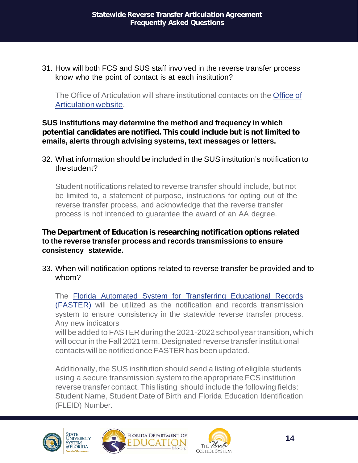31. How will both FCS and SUS staff involved in the reverse transfer process know who the point of contact is at each institution?

The Office of Articulation will share institutional contacts on the [Office](https://www.fldoe.org/policy/articulation/) of [Articulationwebsite.](https://www.fldoe.org/policy/articulation/)

#### **SUS institutions may determine the method and frequency in which potential candidates are notified. This could include but is not limited to emails, alerts through advising systems, text messages or letters.**

32. What information should be included in the SUS institution's notification to thestudent?

Student notifications related to reverse transfer should include, but not be limited to, a statement of purpose, instructions for opting out of the reverse transfer process, and acknowledge that the reverse transfer process is not intended to guarantee the award of an AA degree.

#### **The Department of Education is researching notification options related to the reverse transfer process and records transmissions to ensure consistency statewide.**

33. When will notification options related to reverse transfer be provided and to whom?

The Florida Automated System for [Transferring](http://www.floridastudentfinancialaid.org/faster/manl2021/index.htm) Educational Records (FASTER) will be utilized as the notification and records transmission system to ensure consistency in the statewide reverse transfer process. Any new indicators

will be added to FASTER during the 2021-2022 school year transition, which will occur in the Fall 2021 term. Designated reverse transfer institutional contacts will be notified once FASTER has been updated.

Additionally, the SUS institution should send a listing of eligible students using a secure transmission system to the appropriate FCS institution reverse transfer contact. This listing should include the following fields: Student Name, Student Date of Birth and Florida Education Identification (FLEID) Number.